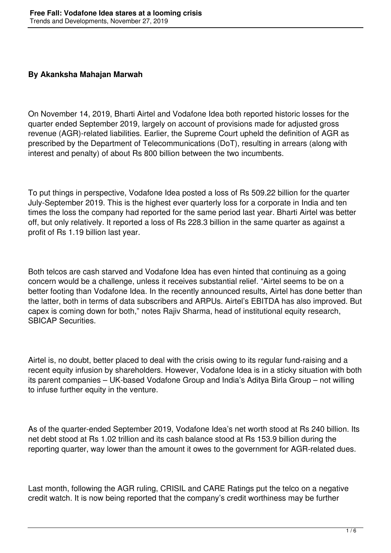## **By Akanksha Mahajan Marwah**

On November 14, 2019, Bharti Airtel and Vodafone Idea both reported historic losses for the quarter ended September 2019, largely on account of provisions made for adjusted gross revenue (AGR)-related liabilities. Earlier, the Supreme Court upheld the definition of AGR as prescribed by the Department of Telecommunications (DoT), resulting in arrears (along with interest and penalty) of about Rs 800 billion between the two incumbents.

To put things in perspective, Vodafone Idea posted a loss of Rs 509.22 billion for the quarter July-September 2019. This is the highest ever quarterly loss for a corporate in India and ten times the loss the company had reported for the same period last year. Bharti Airtel was better off, but only relatively. It reported a loss of Rs 228.3 billion in the same quarter as against a profit of Rs 1.19 billion last year.

Both telcos are cash starved and Vodafone Idea has even hinted that continuing as a going concern would be a challenge, unless it receives substantial relief. "Airtel seems to be on a better footing than Vodafone Idea. In the recently announced results, Airtel has done better than the latter, both in terms of data subscribers and ARPUs. Airtel's EBITDA has also improved. But capex is coming down for both," notes Rajiv Sharma, head of institutional equity research, SBICAP Securities.

Airtel is, no doubt, better placed to deal with the crisis owing to its regular fund-raising and a recent equity infusion by shareholders. However, Vodafone Idea is in a sticky situation with both its parent companies – UK-based Vodafone Group and India's Aditya Birla Group – not willing to infuse further equity in the venture.

As of the quarter-ended September 2019, Vodafone Idea's net worth stood at Rs 240 billion. Its net debt stood at Rs 1.02 trillion and its cash balance stood at Rs 153.9 billion during the reporting quarter, way lower than the amount it owes to the government for AGR-related dues.

Last month, following the AGR ruling, CRISIL and CARE Ratings put the telco on a negative credit watch. It is now being reported that the company's credit worthiness may be further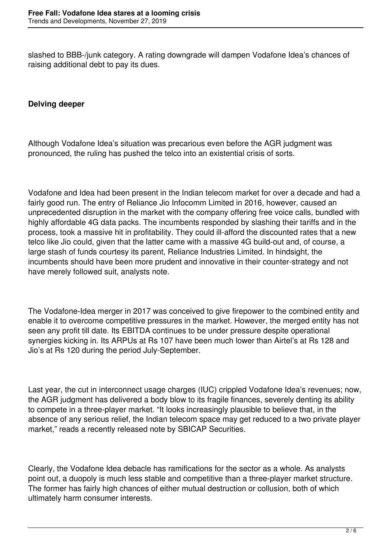slashed to BBB-/junk category. A rating downgrade will dampen Vodafone Idea's chances of raising additional debt to pay its dues.

## **Delving deeper**

Although Vodafone Idea's situation was precarious even before the AGR judgment was pronounced, the ruling has pushed the telco into an existential crisis of sorts.

Vodafone and Idea had been present in the Indian telecom market for over a decade and had a fairly good run. The entry of Reliance Jio Infocomm Limited in 2016, however, caused an unprecedented disruption in the market with the company offering free voice calls, bundled with highly affordable 4G data packs. The incumbents responded by slashing their tariffs and in the process, took a massive hit in profitability. They could ill-afford the discounted rates that a new telco like Jio could, given that the latter came with a massive 4G build-out and, of course, a large stash of funds courtesy its parent, Reliance Industries Limited. In hindsight, the incumbents should have been more prudent and innovative in their counter-strategy and not have merely followed suit, analysts note.

The Vodafone-Idea merger in 2017 was conceived to give firepower to the combined entity and enable it to overcome competitive pressures in the market. However, the merged entity has not seen any profit till date. Its EBITDA continues to be under pressure despite operational synergies kicking in. Its ARPUs at Rs 107 have been much lower than Airtel's at Rs 128 and Jio's at Rs 120 during the period July-September.

Last year, the cut in interconnect usage charges (IUC) crippled Vodafone Idea's revenues; now, the AGR judgment has delivered a body blow to its fragile finances, severely denting its ability to compete in a three-player market. "It looks increasingly plausible to believe that, in the absence of any serious relief, the Indian telecom space may get reduced to a two private player market," reads a recently released note by SBICAP Securities.

Clearly, the Vodafone Idea debacle has ramifications for the sector as a whole. As analysts point out, a duopoly is much less stable and competitive than a three-player market structure. The former has fairly high chances of either mutual destruction or collusion, both of which ultimately harm consumer interests.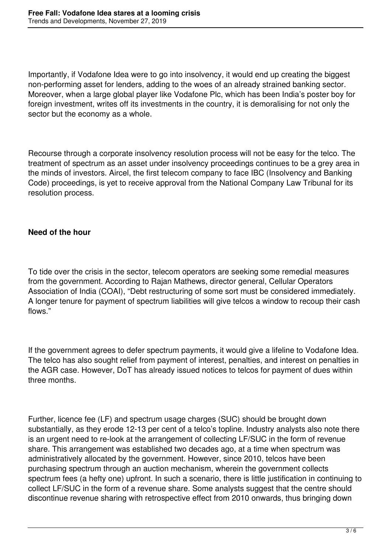Importantly, if Vodafone Idea were to go into insolvency, it would end up creating the biggest non-performing asset for lenders, adding to the woes of an already strained banking sector. Moreover, when a large global player like Vodafone Plc, which has been India's poster boy for foreign investment, writes off its investments in the country, it is demoralising for not only the sector but the economy as a whole.

Recourse through a corporate insolvency resolution process will not be easy for the telco. The treatment of spectrum as an asset under insolvency proceedings continues to be a grey area in the minds of investors. Aircel, the first telecom company to face IBC (Insolvency and Banking Code) proceedings, is yet to receive approval from the National Company Law Tribunal for its resolution process.

## **Need of the hour**

To tide over the crisis in the sector, telecom operators are seeking some remedial measures from the government. According to Rajan Mathews, director general, Cellular Operators Association of India (COAI), "Debt restructuring of some sort must be considered immediately. A longer tenure for payment of spectrum liabilities will give telcos a window to recoup their cash flows."

If the government agrees to defer spectrum payments, it would give a lifeline to Vodafone Idea. The telco has also sought relief from payment of interest, penalties, and interest on penalties in the AGR case. However, DoT has already issued notices to telcos for payment of dues within three months.

Further, licence fee (LF) and spectrum usage charges (SUC) should be brought down substantially, as they erode 12-13 per cent of a telco's topline. Industry analysts also note there is an urgent need to re-look at the arrangement of collecting LF/SUC in the form of revenue share. This arrangement was established two decades ago, at a time when spectrum was administratively allocated by the government. However, since 2010, telcos have been purchasing spectrum through an auction mechanism, wherein the government collects spectrum fees (a hefty one) upfront. In such a scenario, there is little justification in continuing to collect LF/SUC in the form of a revenue share. Some analysts suggest that the centre should discontinue revenue sharing with retrospective effect from 2010 onwards, thus bringing down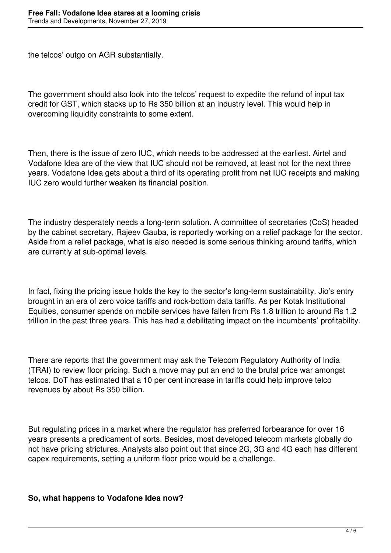the telcos' outgo on AGR substantially.

The government should also look into the telcos' request to expedite the refund of input tax credit for GST, which stacks up to Rs 350 billion at an industry level. This would help in overcoming liquidity constraints to some extent.

Then, there is the issue of zero IUC, which needs to be addressed at the earliest. Airtel and Vodafone Idea are of the view that IUC should not be removed, at least not for the next three years. Vodafone Idea gets about a third of its operating profit from net IUC receipts and making IUC zero would further weaken its financial position.

The industry desperately needs a long-term solution. A committee of secretaries (CoS) headed by the cabinet secretary, Rajeev Gauba, is reportedly working on a relief package for the sector. Aside from a relief package, what is also needed is some serious thinking around tariffs, which are currently at sub-optimal levels.

In fact, fixing the pricing issue holds the key to the sector's long-term sustainability. Jio's entry brought in an era of zero voice tariffs and rock-bottom data tariffs. As per Kotak Institutional Equities, consumer spends on mobile services have fallen from Rs 1.8 trillion to around Rs 1.2 trillion in the past three years. This has had a debilitating impact on the incumbents' profitability.

There are reports that the government may ask the Telecom Regulatory Authority of India (TRAI) to review floor pricing. Such a move may put an end to the brutal price war amongst telcos. DoT has estimated that a 10 per cent increase in tariffs could help improve telco revenues by about Rs 350 billion.

But regulating prices in a market where the regulator has preferred forbearance for over 16 years presents a predicament of sorts. Besides, most developed telecom markets globally do not have pricing strictures. Analysts also point out that since 2G, 3G and 4G each has different capex requirements, setting a uniform floor price would be a challenge.

## **So, what happens to Vodafone Idea now?**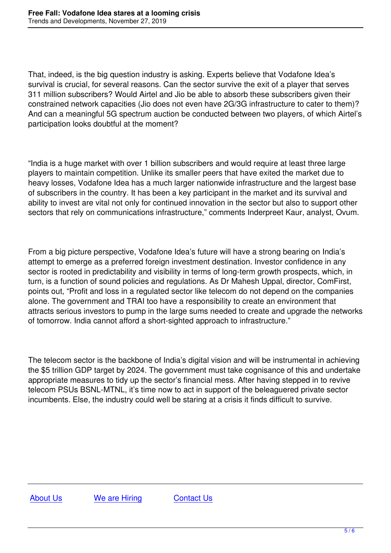That, indeed, is the big question industry is asking. Experts believe that Vodafone Idea's survival is crucial, for several reasons. Can the sector survive the exit of a player that serves 311 million subscribers? Would Airtel and Jio be able to absorb these subscribers given their constrained network capacities (Jio does not even have 2G/3G infrastructure to cater to them)? And can a meaningful 5G spectrum auction be conducted between two players, of which Airtel's participation looks doubtful at the moment?

"India is a huge market with over 1 billion subscribers and would require at least three large players to maintain competition. Unlike its smaller peers that have exited the market due to heavy losses, Vodafone Idea has a much larger nationwide infrastructure and the largest base of subscribers in the country. It has been a key participant in the market and its survival and ability to invest are vital not only for continued innovation in the sector but also to support other sectors that rely on communications infrastructure," comments Inderpreet Kaur, analyst, Ovum.

From a big picture perspective, Vodafone Idea's future will have a strong bearing on India's attempt to emerge as a preferred foreign investment destination. Investor confidence in any sector is rooted in predictability and visibility in terms of long-term growth prospects, which, in turn, is a function of sound policies and regulations. As Dr Mahesh Uppal, director, ComFirst, points out, "Profit and loss in a regulated sector like telecom do not depend on the companies alone. The government and TRAI too have a responsibility to create an environment that attracts serious investors to pump in the large sums needed to create and upgrade the networks of tomorrow. India cannot afford a short-sighted approach to infrastructure."

The telecom sector is the backbone of India's digital vision and will be instrumental in achieving the \$5 trillion GDP target by 2024. The government must take cognisance of this and undertake appropriate measures to tidy up the sector's financial mess. After having stepped in to revive telecom PSUs BSNL-MTNL, it's time now to act in support of the beleaguered private sector incumbents. Else, the industry could well be staring at a crisis it finds difficult to survive.

About Us We are Hiring Contact Us